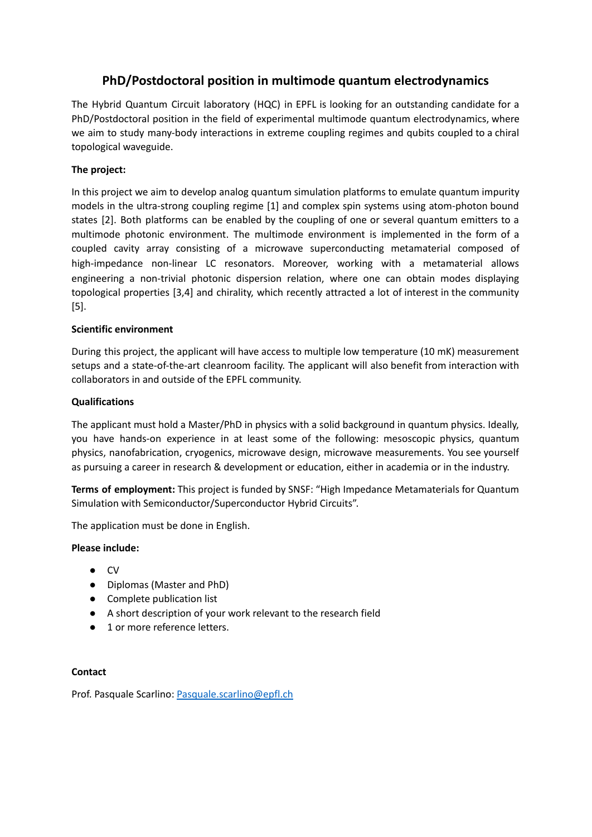# **PhD/Postdoctoral position in multimode quantum electrodynamics**

The Hybrid Quantum Circuit laboratory (HQC) in EPFL is looking for an outstanding candidate for a PhD/Postdoctoral position in the field of experimental multimode quantum electrodynamics, where we aim to study many-body interactions in extreme coupling regimes and qubits coupled to a chiral topological waveguide.

## **The project:**

In this project we aim to develop analog quantum simulation platforms to emulate quantum impurity models in the ultra-strong coupling regime [1] and complex spin systems using atom-photon bound states [2]. Both platforms can be enabled by the coupling of one or several quantum emitters to a multimode photonic environment. The multimode environment is implemented in the form of a coupled cavity array consisting of a microwave superconducting metamaterial composed of high-impedance non-linear LC resonators. Moreover, working with a metamaterial allows engineering a non-trivial photonic dispersion relation, where one can obtain modes displaying topological properties [3,4] and chirality, which recently attracted a lot of interest in the community [5].

## **Scientific environment**

During this project, the applicant will have access to multiple low temperature (10 mK) measurement setups and a state-of-the-art cleanroom facility. The applicant will also benefit from interaction with collaborators in and outside of the EPFL community.

## **Qualifications**

The applicant must hold a Master/PhD in physics with a solid background in quantum physics. Ideally, you have hands-on experience in at least some of the following: mesoscopic physics, quantum physics, nanofabrication, cryogenics, microwave design, microwave measurements. You see yourself as pursuing a career in research & development or education, either in academia or in the industry.

**Terms of employment:** This project is funded by SNSF: "High Impedance Metamaterials for Quantum Simulation with Semiconductor/Superconductor Hybrid Circuits".

The application must be done in English.

### **Please include:**

- CV
- Diplomas (Master and PhD)
- Complete publication list
- A short description of your work relevant to the research field
- 1 or more reference letters.

### **Contact**

Prof. Pasquale Scarlino: [Pasquale.scarlino@epfl.ch](mailto:Pasquale.scarlino@epfl.ch)